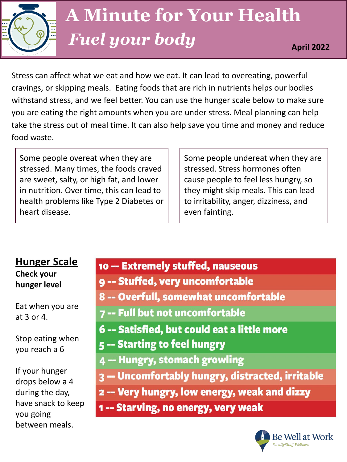

# **A Minute for Your Health** *Fuel your body* **April 2022**

Stress can affect what we eat and how we eat. It can lead to overeating, powerful cravings, or skipping meals. Eating foods that are rich in nutrients helps our bodies withstand stress, and we feel better. You can use the hunger scale below to make sure you are eating the right amounts when you are under stress. Meal planning can help take the stress out of meal time. It can also help save you time and money and reduce food waste.

Some people overeat when they are stressed. Many times, the foods craved are sweet, salty, or high fat, and lower in nutrition. Over time, this can lead to health problems like Type 2 Diabetes or heart disease.

Some people undereat when they are stressed. Stress hormones often cause people to feel less hungry, so they might skip meals. This can lead to irritability, anger, dizziness, and even fainting.

### **Hunger Scale Check your hunger level**

Eat when you are at 3 or 4.

Stop eating when you reach a 6

If your hunger drops below a 4 during the day, have snack to keep you going between meals.

# 10 -- Extremely stuffed, nauseous

- 9 -- Stuffed, very uncomfortable
- 8 -- Overfull, somewhat uncomfortable
- 7 -- Full but not uncomfortable
- 6 -- Satisfied, but could eat a little more
- 5 -- Starting to feel hungry
- 4 -- Hungry, stomach growling
- 3 -- Uncomfortably hungry, distracted, irritable
- 2 -- Very hungry, low energy, weak and dizzy
- 1 -- Starving, no energy, very weak

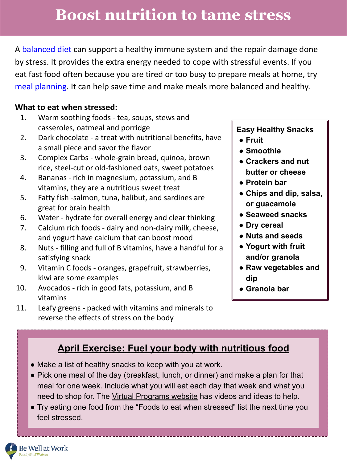# **Boost nutrition to tame stress**

A [balanced diet](https://www.hsph.harvard.edu/nutritionsource/healthy-eating-plate/) can support a healthy immune system and the repair damage done by stress. It provides the extra energy needed to cope with stressful events. If you eat fast food often because you are tired or too busy to prepare meals at home, try [meal planning.](https://www.hsph.harvard.edu/nutritionsource/meal-prep/) It can help save time and make meals more balanced and healthy.

#### **What to eat when stressed:**

- 1. Warm soothing foods tea, soups, stews and casseroles, oatmeal and porridge
- 2. Dark chocolate a treat with nutritional benefits, have a small piece and savor the flavor
- 3. Complex Carbs whole-grain bread, [quinoa,](https://www.everydayhealth.com/diet-nutrition/diet/quinoa-nutrition-facts-types-how-cook-it-more/) brown rice, steel-cut or old-fashioned [o](https://www.everydayhealth.com/diet-nutrition/diet/oatmeal-benefits-risks-recipes-more/)ats, sweet potatoes
- 4. Bananas rich in magnesium, potassium, and B vitamins, they are a nutritious sweet treat
- 5. Fatty fish -salmon, tuna, halibut, and sardines are great for brain health
- 6. Water hydrate for overall energy and clear thinking
- 7. Calcium rich foods dairy and non-dairy milk, cheese, and yogurt have calcium that can boost mood
- 8. Nuts filling and full of B vitamins, have a handful for a satisfying snack
- 9. Vitamin C foods oranges, grapefruit, strawberries, kiwi are some examples
- 10. Avocados rich in good fats, potassium, and B vitamins
- 11. Leafy greens packed with vitamins and minerals to reverse the effects of stress on the body

#### **Easy Healthy Snacks**

- **● Fruit**
- **● Smoothie**
- **● Crackers and nut butter or cheese**
- **● Protein bar**
- **● Chips and dip, salsa, or guacamole**
- **● Seaweed snacks**
- **● Dry cereal**
- **● Nuts and seeds**
- **● Yogurt with fruit and/or granola**
- **● Raw vegetables and dip**
- **● Granola bar**

### **April Exercise: Fuel your body with nutritious food**

- Make a list of healthy snacks to keep with you at work.
- Pick one meal of the day (breakfast, lunch, or dinner) and make a plan for that meal for one week. Include what you will eat each day that week and what you need to shop for. The [Virtual Programs website](https://uhs.berkeley.edu/faculty-staff/wellness/workshops-and-programs/virtual-programs) has videos and ideas to help.
- Try eating one food from the "Foods to eat when stressed" list the next time you feel stressed.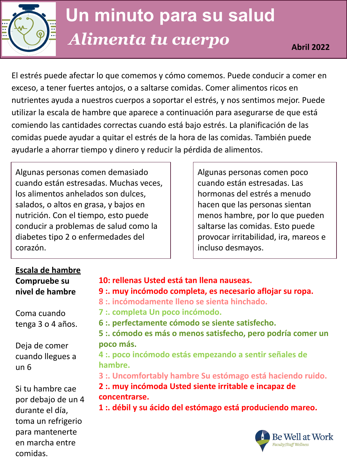

El estrés puede afectar lo que comemos y cómo comemos. Puede conducir a comer en exceso, a tener fuertes antojos, o a saltarse comidas. Comer alimentos ricos en nutrientes ayuda a nuestros cuerpos a soportar el estrés, y nos sentimos mejor. Puede utilizar la escala de hambre que aparece a continuación para asegurarse de que está comiendo las cantidades correctas cuando está bajo estrés. La planificación de las comidas puede ayudar a quitar el estrés de la hora de las comidas. También puede ayudarle a ahorrar tiempo y dinero y reducir la pérdida de alimentos.

Algunas personas comen demasiado cuando están estresadas. Muchas veces, los alimentos anhelados son dulces, salados, o altos en grasa, y bajos en nutrición. Con el tiempo, esto puede conducir a problemas de salud como la diabetes tipo 2 o enfermedades del corazón.

Algunas personas comen poco cuando están estresadas. Las hormonas del estrés a menudo hacen que las personas sientan menos hambre, por lo que pueden saltarse las comidas. Esto puede provocar irritabilidad, ira, mareos e incluso desmayos.

### **Escala de hambre Compruebe su nivel de hambre**

Coma cuando tenga 3 o 4 años.

Deja de comer cuando llegues a un 6

Si tu hambre cae por debajo de un 4 durante el día, toma un refrigerio para mantenerte en marcha entre comidas.

- **10: rellenas Usted está tan llena nauseas.**
- **9 :. muy incómodo completa, es necesario aflojar su ropa.**
- **8 :. incómodamente lleno se sienta hinchado.**
- **7 :. completa Un poco incómodo.**
- **6 :. perfectamente cómodo se siente satisfecho.**
- **5 :. cómodo es más o menos satisfecho, pero podría comer un poco más.**

**4 :. poco incómodo estás empezando a sentir señales de hambre.**

**3 :. Uncomfortably hambre Su estómago está haciendo ruido.**

**2 :. muy incómoda Usted siente irritable e incapaz de concentrarse.**

**1 :. débil y su ácido del estómago está produciendo mareo.**

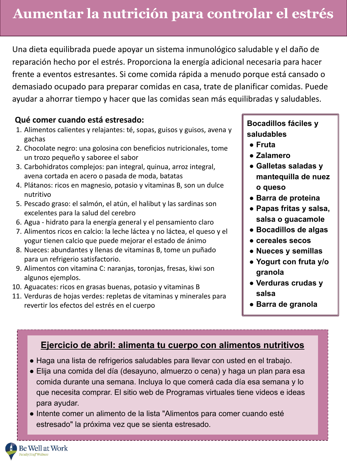Una dieta equilibrada puede apoyar un sistema inmunológico saludable y el daño de reparación hecho por el estrés. Proporciona la energía adicional necesaria para hacer frente a eventos estresantes. Si come comida rápida a menudo porque está cansado o demasiado ocupado para preparar comidas en casa, trate de planificar comidas. Puede ayudar a ahorrar tiempo y hacer que las comidas sean más equilibradas y saludables.

#### **Qué comer cuando está estresado:**

- 1. Alimentos calientes y relajantes: té, sopas, guisos y guisos, avena y gachas
- 2. Chocolate negro: una golosina con beneficios nutricionales, tome un trozo pequeño y saboree el sabor
- 3. Carbohidratos complejos: pan integral, quinua, arroz integral, avena cortada en acero o pasada de moda, batatas
- 4. Plátanos: ricos en magnesio, potasio y vitaminas B, son un dulce nutritivo
- 5. Pescado graso: el salmón, el atún, el halibut y las sardinas son excelentes para la salud del cerebro
- 6. Agua hidrato para la energía general y el pensamiento claro
- 7. Alimentos ricos en calcio: la leche láctea y no láctea, el queso y el yogur tienen calcio que puede mejorar el estado de ánimo
- 8. Nueces: abundantes y llenas de vitaminas B, tome un puñado para un refrigerio satisfactorio.
- 9. Alimentos con vitamina C: naranjas, toronjas, fresas, kiwi son algunos ejemplos.
- 10. Aguacates: ricos en grasas buenas, potasio y vitaminas B
- 11. Verduras de hojas verdes: repletas de vitaminas y minerales para revertir los efectos del estrés en el cuerpo

**Bocadillos fáciles y saludables**

- **● Fruta**
- **● Zalamero**
- **● Galletas saladas y mantequilla de nuez o queso**
- **● Barra de proteina**
- **● Papas fritas y salsa, salsa o guacamole**
- **● Bocadillos de algas**
- **● cereales secos**
- **● Nueces y semillas**
- **● Yogurt con fruta y/o granola**
- **● Verduras crudas y salsa**
- **● Barra de granola**

### **Ejercicio de abril: alimenta tu cuerpo con alimentos nutritivos**

- Haga una lista de refrigerios saludables para llevar con usted en el trabajo.
- Elija una comida del día (desayuno, almuerzo o cena) y haga un plan para esa comida durante una semana. Incluya lo que comerá cada día esa semana y lo que necesita comprar. El sitio web de Programas virtuales tiene videos e ideas para ayudar.
- Intente comer un alimento de la lista "Alimentos para comer cuando esté estresado" la próxima vez que se sienta estresado.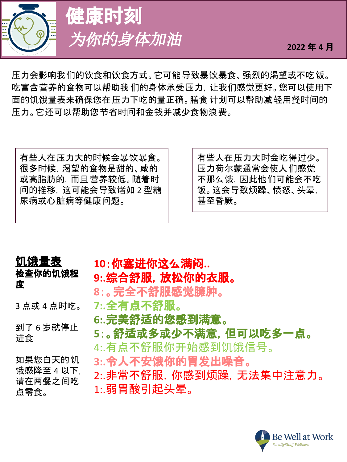

健康时刻 为你的身体加油 <sub>2022年4月</sub>

压力会影响我们的饮食和饮食方式。它可能导致暴饮暴食、强烈的渴望或不吃饭。 吃富含营养的食物可以帮助我们的身体承受压力,让我们感觉更好。您可以使用下 面的饥饿量表来确保您在压力下吃的量正确。膳食 计划可以帮助减轻用餐时间的 压力。它还可以帮助您节省时间和金钱并减少食物浪费。

有些人在压力大的时候会暴饮暴食。 很多时候,渴望的食物是甜的、咸的 或高脂肪的,而且营养较低。随着时 间的推移,这可能会导致诸如 2 型糖 尿病或心脏病等健康问题。

有些人在压力大时会吃得过少。 压力荷尔蒙通常会使人们感觉 不那么饿,因此他们可能会不吃 饭。这会导致烦躁、愤怒、头晕, 甚至昏厥。

# 饥饿量表

### 检查你的饥饿程 度

3 点或 4 点时吃。

到了 6 岁就停止 进食

如果您白天的饥 饿感降至 4 以下, 请在两餐之间吃 点零食。

# **10**:你塞进你这么满闷**..**

## 9:.综合舒服, 放松你的衣服。

- **8**:。完全不舒服感觉臃肿。
- **7:.**全有点不舒服。
- **6:.**完美舒适的您感到满意。

### **5**:。舒适或多或少不满意,但可以吃多一点。

- 4:.有点不舒服你开始感到饥饿信号。
- **3:.**令人不安饿你的胃发出噪音。
- 2:.非常不舒服,你感到烦躁,无法集中注意力。 1:.弱胃酸引起头晕。